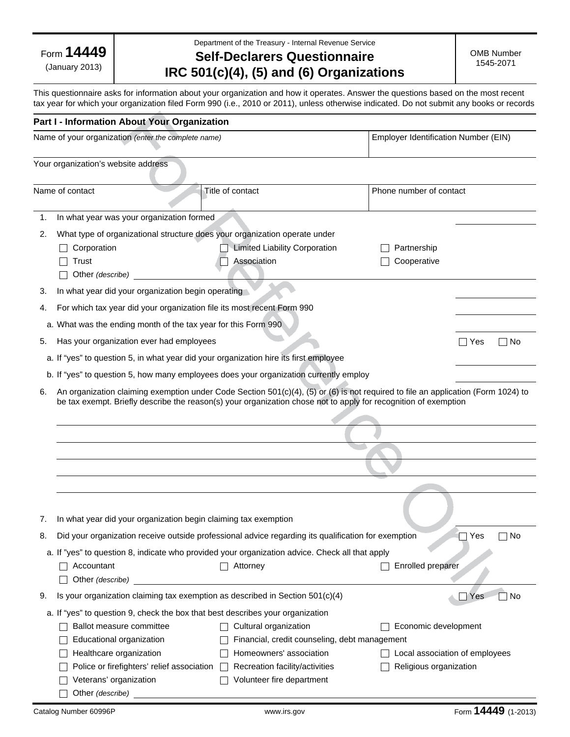Form **14449**

(January 2013)

Department of the Treasury - Internal Revenue Service

## **Self-Declarers Questionnaire IRC 501(c)(4), (5) and (6) Organizations**

OMB Number 1545-2071

This questionnaire asks for information about your organization and how it operates. Answer the questions based on the most recent tax year for which your organization filed Form 990 (i.e., 2010 or 2011), unless otherwise indicated. Do not submit any books or records

|    | Part I - Information About Your Organization                                                                                                                                                                                                         |                                                                                                     |                                      |  |
|----|------------------------------------------------------------------------------------------------------------------------------------------------------------------------------------------------------------------------------------------------------|-----------------------------------------------------------------------------------------------------|--------------------------------------|--|
|    | Name of your organization (enter the complete name)                                                                                                                                                                                                  |                                                                                                     | Employer Identification Number (EIN) |  |
|    | Your organization's website address                                                                                                                                                                                                                  |                                                                                                     |                                      |  |
|    | Name of contact                                                                                                                                                                                                                                      | Title of contact                                                                                    | Phone number of contact              |  |
| 1. | In what year was your organization formed                                                                                                                                                                                                            |                                                                                                     |                                      |  |
| 2. | What type of organizational structure does your organization operate under                                                                                                                                                                           |                                                                                                     |                                      |  |
|    | Corporation                                                                                                                                                                                                                                          | <b>Limited Liability Corporation</b>                                                                | Partnership                          |  |
|    | Trust                                                                                                                                                                                                                                                | Association                                                                                         | Cooperative                          |  |
|    | Other (describe)                                                                                                                                                                                                                                     |                                                                                                     |                                      |  |
| 3. | In what year did your organization begin operating                                                                                                                                                                                                   |                                                                                                     |                                      |  |
| 4. | For which tax year did your organization file its most recent Form 990                                                                                                                                                                               |                                                                                                     |                                      |  |
|    | a. What was the ending month of the tax year for this Form 990                                                                                                                                                                                       |                                                                                                     |                                      |  |
| 5. | Has your organization ever had employees                                                                                                                                                                                                             |                                                                                                     | ∣ No<br>∣∣Yes                        |  |
|    |                                                                                                                                                                                                                                                      | a. If "yes" to question 5, in what year did your organization hire its first employee               |                                      |  |
|    |                                                                                                                                                                                                                                                      | b. If "yes" to question 5, how many employees does your organization currently employ               |                                      |  |
| 6. | An organization claiming exemption under Code Section 501(c)(4), (5) or (6) is not required to file an application (Form 1024) to<br>be tax exempt. Briefly describe the reason(s) your organization chose not to apply for recognition of exemption |                                                                                                     |                                      |  |
|    |                                                                                                                                                                                                                                                      |                                                                                                     |                                      |  |
|    |                                                                                                                                                                                                                                                      |                                                                                                     |                                      |  |
|    |                                                                                                                                                                                                                                                      |                                                                                                     |                                      |  |
|    |                                                                                                                                                                                                                                                      |                                                                                                     |                                      |  |
|    |                                                                                                                                                                                                                                                      |                                                                                                     |                                      |  |
|    |                                                                                                                                                                                                                                                      |                                                                                                     |                                      |  |
| 7. | In what year did your organization begin claiming tax exemption                                                                                                                                                                                      |                                                                                                     |                                      |  |
| 8. |                                                                                                                                                                                                                                                      | Did your organization receive outside professional advice regarding its qualification for exemption | Yes<br>No                            |  |
|    |                                                                                                                                                                                                                                                      | a. If "yes" to question 8, indicate who provided your organization advice. Check all that apply     |                                      |  |
|    | Accountant                                                                                                                                                                                                                                           | Attorney                                                                                            | <b>Enrolled preparer</b>             |  |
|    | Other (describe)                                                                                                                                                                                                                                     |                                                                                                     |                                      |  |
| 9. |                                                                                                                                                                                                                                                      | Is your organization claiming tax exemption as described in Section 501(c)(4)                       | No<br>Yes                            |  |
|    | a. If "yes" to question 9, check the box that best describes your organization                                                                                                                                                                       |                                                                                                     |                                      |  |
|    | Ballot measure committee                                                                                                                                                                                                                             | Cultural organization                                                                               | Economic development                 |  |
|    | Educational organization                                                                                                                                                                                                                             | Financial, credit counseling, debt management                                                       |                                      |  |
|    | Healthcare organization                                                                                                                                                                                                                              | Homeowners' association                                                                             | Local association of employees       |  |
|    | Police or firefighters' relief association                                                                                                                                                                                                           | Recreation facility/activities                                                                      | Religious organization               |  |
|    | Veterans' organization<br>Other (describe)                                                                                                                                                                                                           | Volunteer fire department                                                                           |                                      |  |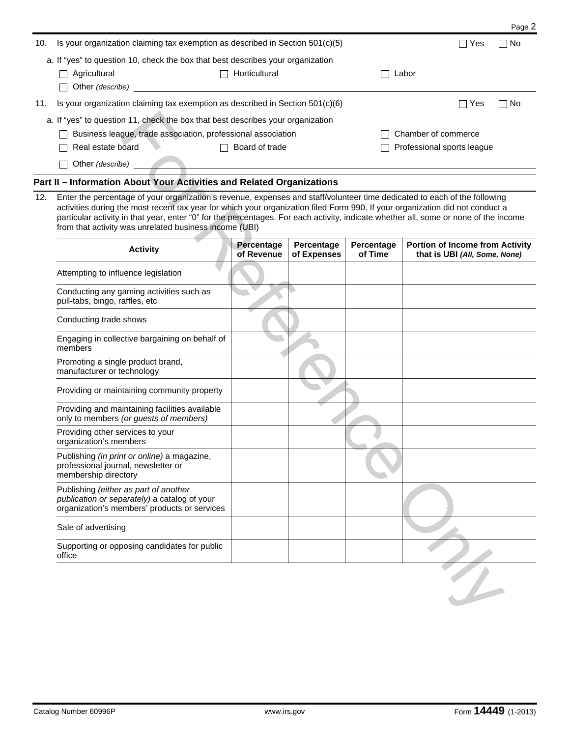| 10. | Is your organization claiming tax exemption as described in Section $501(c)(5)$ | Yes           | No.                        |     |     |
|-----|---------------------------------------------------------------------------------|---------------|----------------------------|-----|-----|
|     | a. If "yes" to question 10, check the box that best describes your organization |               |                            |     |     |
|     | Agricultural                                                                    | Horticultural | Labor                      |     |     |
|     | Other (describe)<br>$\blacksquare$                                              |               |                            |     |     |
| 11. | Is your organization claiming tax exemption as described in Section $501(c)(6)$ |               |                            | Yes | No. |
|     | a. If "yes" to question 11, check the box that best describes your organization |               |                            |     |     |
|     | Business league, trade association, professional association                    |               | Chamber of commerce        |     |     |
|     | Real estate board<br>Board of trade                                             |               | Professional sports league |     |     |
|     | Other (describe)                                                                |               |                            |     |     |

## **Part II – Information About Your Activities and Related Organizations**

12. Enter the percentage of your organization's revenue, expenses and staff/volunteer time dedicated to each of the following activities during the most recent tax year for which your organization filed Form 990. If your organization did not conduct a particular activity in that year, enter "0" for the percentages. For each activity, indicate whether all, some or none of the income from that activity was unrelated business income (UBI)

| <b>Activity</b>                                                                                                                       | Percentage<br>of Revenue | Percentage<br>of Expenses | Percentage<br>of Time | <b>Portion of Income from Activity</b><br>that is UBI (All, Some, None) |
|---------------------------------------------------------------------------------------------------------------------------------------|--------------------------|---------------------------|-----------------------|-------------------------------------------------------------------------|
| Attempting to influence legislation                                                                                                   |                          |                           |                       |                                                                         |
| Conducting any gaming activities such as<br>pull-tabs, bingo, raffles, etc                                                            |                          |                           |                       |                                                                         |
| Conducting trade shows                                                                                                                |                          |                           |                       |                                                                         |
| Engaging in collective bargaining on behalf of<br>members                                                                             |                          |                           |                       |                                                                         |
| Promoting a single product brand,<br>manufacturer or technology                                                                       |                          |                           |                       |                                                                         |
| Providing or maintaining community property                                                                                           |                          |                           |                       |                                                                         |
| Providing and maintaining facilities available<br>only to members (or guests of members)                                              |                          |                           |                       |                                                                         |
| Providing other services to your<br>organization's members                                                                            |                          |                           |                       |                                                                         |
| Publishing (in print or online) a magazine,<br>professional journal, newsletter or<br>membership directory                            |                          |                           |                       |                                                                         |
| Publishing (either as part of another<br>publication or separately) a catalog of your<br>organization's members' products or services |                          |                           |                       |                                                                         |
| Sale of advertising                                                                                                                   |                          |                           |                       |                                                                         |
| Supporting or opposing candidates for public<br>office                                                                                |                          |                           |                       |                                                                         |
|                                                                                                                                       |                          |                           |                       |                                                                         |

Page 2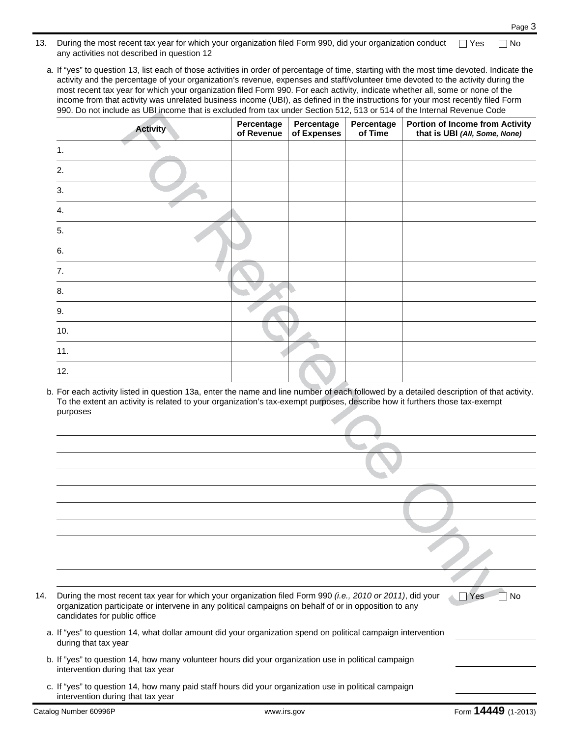- 13. During the most recent tax year for which your organization filed Form 990, did your organization conduct any activities not described in question 12  $\Box$  Yes  $\Box$  No
	- a. If "yes" to question 13, list each of those activities in order of percentage of time, starting with the most time devoted. Indicate the activity and the percentage of your organization's revenue, expenses and staff/volunteer time devoted to the activity during the most recent tax year for which your organization filed Form 990. For each activity, indicate whether all, some or none of the income from that activity was unrelated business income (UBI), as defined in the instructions for your most recently filed Form 990. Do not include as UBI income that is excluded from tax under Section 512, 513 or 514 of the Internal Revenue Code

| <b>Activity</b> | Percentage<br>of Revenue | Percentage<br>of Expenses | Percentage<br>of Time | <b>Portion of Income from Activity</b><br>that is UBI (All, Some, None) |
|-----------------|--------------------------|---------------------------|-----------------------|-------------------------------------------------------------------------|
| 1.              |                          |                           |                       |                                                                         |
| 2.              |                          |                           |                       |                                                                         |
| 3.              |                          |                           |                       |                                                                         |
| 4.              |                          |                           |                       |                                                                         |
| 5.              |                          |                           |                       |                                                                         |
| 6.              |                          |                           |                       |                                                                         |
| 7.              |                          |                           |                       |                                                                         |
| 8.              |                          |                           |                       |                                                                         |
| 9.              |                          |                           |                       |                                                                         |
| 10.             |                          |                           |                       |                                                                         |
| 11.             |                          |                           |                       |                                                                         |
| 12.             |                          |                           |                       |                                                                         |

b. For each activity listed in question 13a, enter the name and line number of each followed by a detailed description of that activity. To the extent an activity is related to your organization's tax-exempt purposes, describe how it furthers those tax-exempt purposes

| 14. | candidates for public office      | During the most recent tax year for which your organization filed Form 990 (i.e., 2010 or 2011), did your<br>organization participate or intervene in any political campaigns on behalf of or in opposition to any | $\Box$ Yes<br>No    |
|-----|-----------------------------------|--------------------------------------------------------------------------------------------------------------------------------------------------------------------------------------------------------------------|---------------------|
|     | during that tax year              | a. If "yes" to question 14, what dollar amount did your organization spend on political campaign intervention                                                                                                      |                     |
|     | intervention during that tax year | b. If "yes" to question 14, how many volunteer hours did your organization use in political campaign                                                                                                               |                     |
|     | intervention during that tax year | c. If "yes" to question 14, how many paid staff hours did your organization use in political campaign                                                                                                              |                     |
|     | Catalog Number 60996P             | www.irs.gov                                                                                                                                                                                                        | Form 14449 (1-2013) |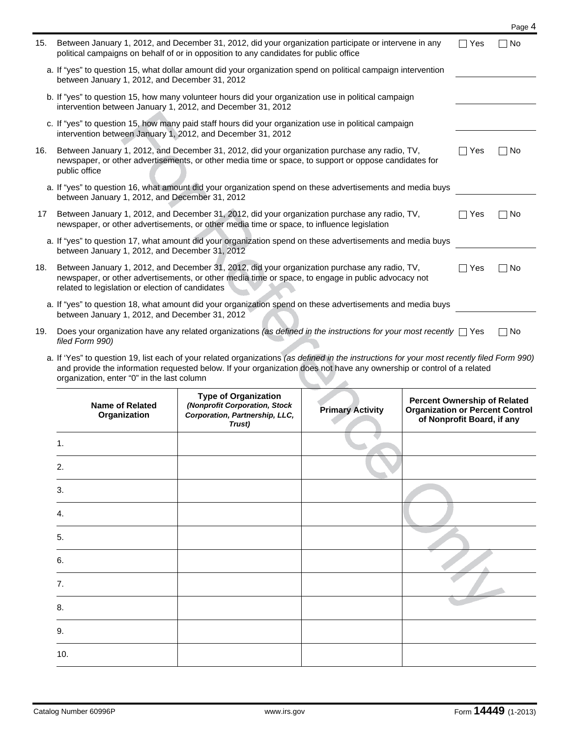| 15. | Between January 1, 2012, and December 31, 2012, did your organization participate or intervene in any<br>political campaigns on behalf of or in opposition to any candidates for public office                                                          |     | No.  |
|-----|---------------------------------------------------------------------------------------------------------------------------------------------------------------------------------------------------------------------------------------------------------|-----|------|
|     | a. If "yes" to question 15, what dollar amount did your organization spend on political campaign intervention<br>between January 1, 2012, and December 31, 2012                                                                                         |     |      |
|     | b. If "yes" to question 15, how many volunteer hours did your organization use in political campaign<br>intervention between January 1, 2012, and December 31, 2012                                                                                     |     |      |
|     | c. If "yes" to question 15, how many paid staff hours did your organization use in political campaign<br>intervention between January 1, 2012, and December 31, 2012                                                                                    |     |      |
| 16. | Between January 1, 2012, and December 31, 2012, did your organization purchase any radio, TV,<br>newspaper, or other advertisements, or other media time or space, to support or oppose candidates for<br>public office                                 | Yes | No   |
|     | a. If "yes" to question 16, what amount did your organization spend on these advertisements and media buys<br>between January 1, 2012, and December 31, 2012                                                                                            |     |      |
| 17  | Between January 1, 2012, and December 31, 2012, did your organization purchase any radio, TV,<br>newspaper, or other advertisements, or other media time or space, to influence legislation                                                             | Yes | No   |
|     | a. If "yes" to question 17, what amount did your organization spend on these advertisements and media buys<br>between January 1, 2012, and December 31, 2012                                                                                            |     |      |
| 18. | Between January 1, 2012, and December 31, 2012, did your organization purchase any radio, TV,<br>newspaper, or other advertisements, or other media time or space, to engage in public advocacy not<br>related to legislation or election of candidates | Yes | □ No |
|     | a. If "yes" to question 18, what amount did your organization spend on these advertisements and media buys<br>between January 1, 2012, and December 31, 2012                                                                                            |     |      |
| 19. | Does your organization have any related organizations (as defined in the instructions for your most recently $\Box$ Yes<br>filed Form 990)                                                                                                              |     | No   |

| a. If 'Yes" to question 19, list each of your related organizations (as defined in the instructions for your most recently filed Form 990)                          |  |
|---------------------------------------------------------------------------------------------------------------------------------------------------------------------|--|
| and provide the information requested below. If your organization does not have any ownership or control of a related<br>organization, enter "0" in the last column |  |
|                                                                                                                                                                     |  |

|                | <b>Name of Related</b><br>Organization | <b>Type of Organization</b><br>(Nonprofit Corporation, Stock<br>Corporation, Partnership, LLC,<br>Trust) | <b>Primary Activity</b> | <b>Percent Ownership of Related</b><br><b>Organization or Percent Control</b><br>of Nonprofit Board, if any |
|----------------|----------------------------------------|----------------------------------------------------------------------------------------------------------|-------------------------|-------------------------------------------------------------------------------------------------------------|
| $\mathbf{1}$ . |                                        |                                                                                                          |                         |                                                                                                             |
| 2.             |                                        |                                                                                                          |                         |                                                                                                             |
| 3.             |                                        |                                                                                                          |                         |                                                                                                             |
| 4.             |                                        |                                                                                                          |                         |                                                                                                             |
| 5.             |                                        |                                                                                                          |                         |                                                                                                             |
| 6.             |                                        |                                                                                                          |                         |                                                                                                             |
| 7.             |                                        |                                                                                                          |                         |                                                                                                             |
| 8.             |                                        |                                                                                                          |                         |                                                                                                             |
| 9.             |                                        |                                                                                                          |                         |                                                                                                             |
| 10.            |                                        |                                                                                                          |                         |                                                                                                             |

Page 4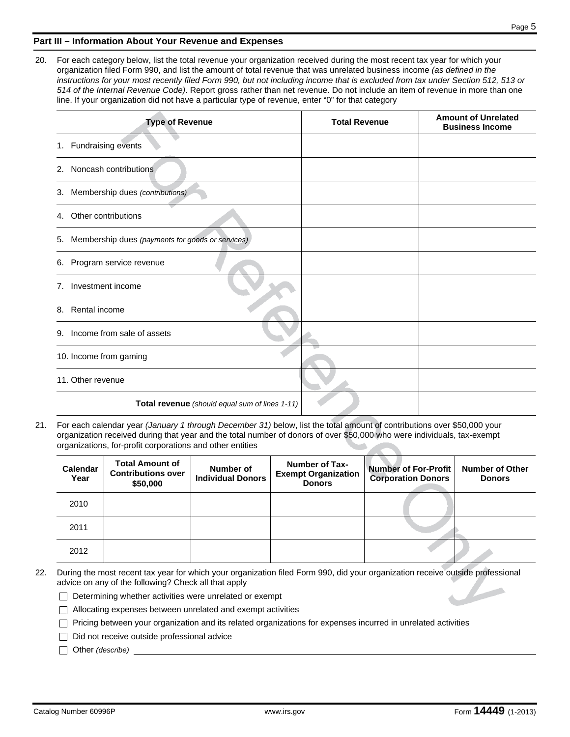## **Part III – Information About Your Revenue and Expenses**

20. For each category below, list the total revenue your organization received during the most recent tax year for which your organization filed Form 990, and list the amount of total revenue that was unrelated business income *(as defined in the instructions for your most recently filed Form 990, but not including income that is excluded from tax under Section 512, 513 or 514 of the Internal Revenue Code)*. Report gross rather than net revenue. Do not include an item of revenue in more than one line. If your organization did not have a particular type of revenue, enter "0" for that category

| <b>Type of Revenue</b>                                 | <b>Total Revenue</b> | <b>Amount of Unrelated</b><br><b>Business Income</b> |
|--------------------------------------------------------|----------------------|------------------------------------------------------|
| Fundraising events<br>1.                               |                      |                                                      |
| Noncash contributions<br>2.                            |                      |                                                      |
| Membership dues (contributions)<br>3.                  |                      |                                                      |
| Other contributions<br>4.                              |                      |                                                      |
| Membership dues (payments for goods or services)<br>5. |                      |                                                      |
| Program service revenue<br>6.                          |                      |                                                      |
| Investment income<br>7.                                |                      |                                                      |
| Rental income<br>8.                                    |                      |                                                      |
| Income from sale of assets<br>9.                       |                      |                                                      |
| 10. Income from gaming                                 |                      |                                                      |
| 11. Other revenue                                      |                      |                                                      |
| Total revenue (should equal sum of lines 1-11)         |                      |                                                      |

21. For each calendar year *(January 1 through December 31)* below, list the total amount of contributions over \$50,000 your organization received during that year and the total number of donors of over \$50,000 who were individuals, tax-exempt organizations, for-profit corporations and other entities

| Calendar<br>Year | <b>Total Amount of</b><br><b>Contributions over</b><br>\$50,000 | Number of<br><b>Individual Donors</b> | <b>Number of Tax-</b><br><b>Exempt Organization</b><br><b>Donors</b> | <b>Number of For-Profit</b><br><b>Corporation Donors</b> | <b>Number of Other</b><br><b>Donors</b> |
|------------------|-----------------------------------------------------------------|---------------------------------------|----------------------------------------------------------------------|----------------------------------------------------------|-----------------------------------------|
| 2010             |                                                                 |                                       |                                                                      |                                                          |                                         |
| 2011             |                                                                 |                                       |                                                                      |                                                          |                                         |
| 2012             |                                                                 |                                       |                                                                      |                                                          |                                         |

- 22. During the most recent tax year for which your organization filed Form 990, did your organization receive outside professional advice on any of the following? Check all that apply
	- $\Box$  Determining whether activities were unrelated or exempt
	- Allocating expenses between unrelated and exempt activities
	- Pricing between your organization and its related organizations for expenses incurred in unrelated activities
	- $\Box$  Did not receive outside professional advice

Other *(describe)*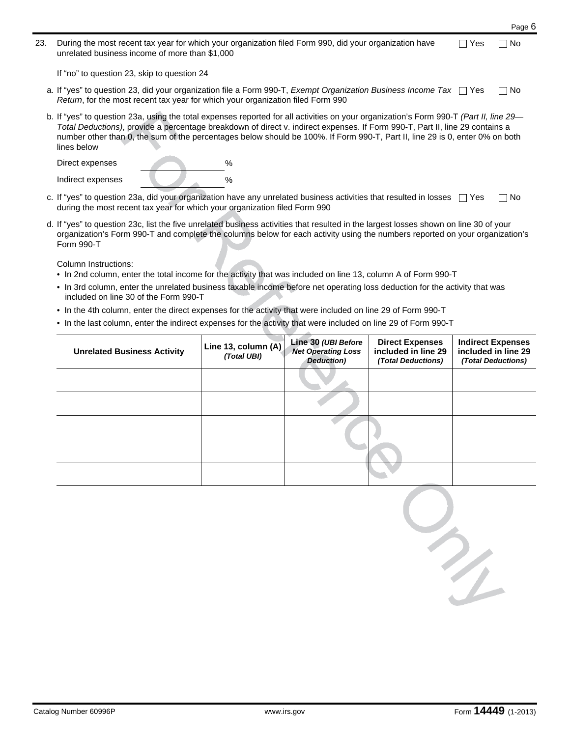|     |                                                                                                                                                                                                                                                                                                                                                                                                                       | Page 6 |
|-----|-----------------------------------------------------------------------------------------------------------------------------------------------------------------------------------------------------------------------------------------------------------------------------------------------------------------------------------------------------------------------------------------------------------------------|--------|
| 23. | During the most recent tax year for which your organization filed Form 990, did your organization have<br>Yes<br>unrelated business income of more than \$1,000                                                                                                                                                                                                                                                       | ∣ No   |
|     | If "no" to question 23, skip to question 24                                                                                                                                                                                                                                                                                                                                                                           |        |
|     | a. If "yes" to question 23, did your organization file a Form 990-T, Exempt Organization Business Income Tax [Yes<br>Return, for the most recent tax year for which your organization filed Form 990                                                                                                                                                                                                                  | ∩ No   |
|     | b. If "yes" to question 23a, using the total expenses reported for all activities on your organization's Form 990-T (Part II, line 29-<br>Total Deductions), provide a percentage breakdown of direct v. indirect expenses. If Form 990-T, Part II, line 29 contains a<br>number other than 0, the sum of the percentages below should be 100%. If Form 990-T, Part II, line 29 is 0, enter 0% on both<br>lines below |        |
|     | Direct expenses<br>%                                                                                                                                                                                                                                                                                                                                                                                                  |        |

| Indirect expenses                                                                                  |  |  |
|----------------------------------------------------------------------------------------------------|--|--|
|                                                                                                    |  |  |
| $\sim$ If "ves" to question 23a. did your organization have any unrelated business activities that |  |  |

- ctivities that resulted in losses  $\Box$  Yes during the most recent tax year for which your organization filed Form 990  $\Box$  No
- d. If "yes" to question 23c, list the five unrelated business activities that resulted in the largest losses shown on line 30 of your organization's Form 990-T and complete the columns below for each activity using the numbers reported on your organization's Form 990-T

Column Instructions:

- In 2nd column, enter the total income for the activity that was included on line 13, column A of Form 990-T
- In 3rd column, enter the unrelated business taxable income before net operating loss deduction for the activity that was included on line 30 of the Form 990-T
- In the 4th column, enter the direct expenses for the activity that were included on line 29 of Form 990-T
- In the last column, enter the indirect expenses for the activity that were included on line 29 of Form 990-T

| <b>Unrelated Business Activity</b> | Line 13, column (A)<br>(Total UBI) | Line 30 (UBI Before<br><b>Net Operating Loss</b><br>Deduction) | <b>Direct Expenses</b><br>included in line 29<br>(Total Deductions) | <b>Indirect Expenses</b><br>included in line 29<br>(Total Deductions) |
|------------------------------------|------------------------------------|----------------------------------------------------------------|---------------------------------------------------------------------|-----------------------------------------------------------------------|
|                                    |                                    |                                                                |                                                                     |                                                                       |
|                                    |                                    |                                                                |                                                                     |                                                                       |
|                                    |                                    |                                                                |                                                                     |                                                                       |
|                                    |                                    |                                                                |                                                                     |                                                                       |
|                                    |                                    |                                                                |                                                                     |                                                                       |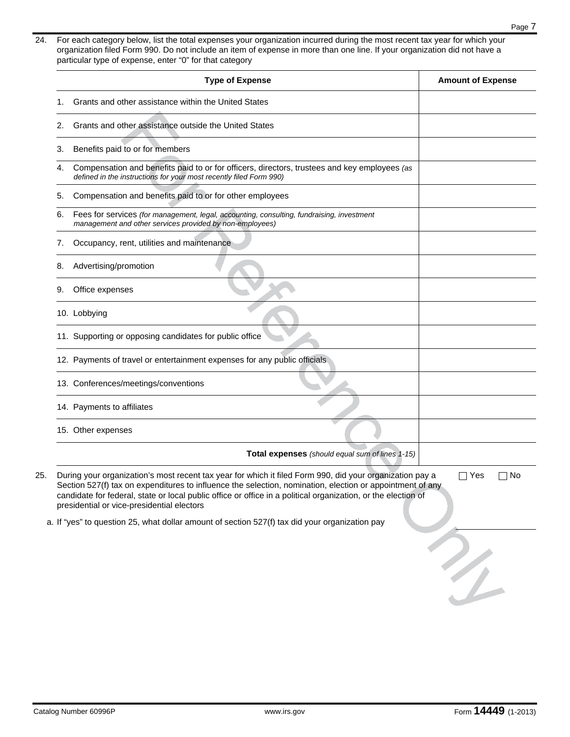24. For each category below, list the total expenses your organization incurred during the most recent tax year for which your organization filed Form 990. Do not include an item of expense in more than one line. If your organization did not have a particular type of expense, enter "0" for that category

| Grants and other assistance within the United States<br>Grants and other assistance outside the United States<br>Benefits paid to or for members<br>Compensation and benefits paid to or for officers, directors, trustees and key employees (as<br>defined in the instructions for your most recently filed Form 990)<br>Compensation and benefits paid to or for other employees<br>Fees for services (for management, legal, accounting, consulting, fundraising, investment<br>management and other services provided by non-employees)<br>Occupancy, rent, utilities and maintenance<br>Advertising/promotion |                                                                                                                                                                                           |  |
|--------------------------------------------------------------------------------------------------------------------------------------------------------------------------------------------------------------------------------------------------------------------------------------------------------------------------------------------------------------------------------------------------------------------------------------------------------------------------------------------------------------------------------------------------------------------------------------------------------------------|-------------------------------------------------------------------------------------------------------------------------------------------------------------------------------------------|--|
|                                                                                                                                                                                                                                                                                                                                                                                                                                                                                                                                                                                                                    |                                                                                                                                                                                           |  |
|                                                                                                                                                                                                                                                                                                                                                                                                                                                                                                                                                                                                                    |                                                                                                                                                                                           |  |
|                                                                                                                                                                                                                                                                                                                                                                                                                                                                                                                                                                                                                    |                                                                                                                                                                                           |  |
|                                                                                                                                                                                                                                                                                                                                                                                                                                                                                                                                                                                                                    |                                                                                                                                                                                           |  |
|                                                                                                                                                                                                                                                                                                                                                                                                                                                                                                                                                                                                                    |                                                                                                                                                                                           |  |
|                                                                                                                                                                                                                                                                                                                                                                                                                                                                                                                                                                                                                    |                                                                                                                                                                                           |  |
|                                                                                                                                                                                                                                                                                                                                                                                                                                                                                                                                                                                                                    |                                                                                                                                                                                           |  |
|                                                                                                                                                                                                                                                                                                                                                                                                                                                                                                                                                                                                                    |                                                                                                                                                                                           |  |
|                                                                                                                                                                                                                                                                                                                                                                                                                                                                                                                                                                                                                    |                                                                                                                                                                                           |  |
| 10. Lobbying                                                                                                                                                                                                                                                                                                                                                                                                                                                                                                                                                                                                       |                                                                                                                                                                                           |  |
| 11. Supporting or opposing candidates for public office                                                                                                                                                                                                                                                                                                                                                                                                                                                                                                                                                            |                                                                                                                                                                                           |  |
| 12. Payments of travel or entertainment expenses for any public officials                                                                                                                                                                                                                                                                                                                                                                                                                                                                                                                                          |                                                                                                                                                                                           |  |
| 13. Conferences/meetings/conventions                                                                                                                                                                                                                                                                                                                                                                                                                                                                                                                                                                               |                                                                                                                                                                                           |  |
|                                                                                                                                                                                                                                                                                                                                                                                                                                                                                                                                                                                                                    |                                                                                                                                                                                           |  |
|                                                                                                                                                                                                                                                                                                                                                                                                                                                                                                                                                                                                                    |                                                                                                                                                                                           |  |
|                                                                                                                                                                                                                                                                                                                                                                                                                                                                                                                                                                                                                    |                                                                                                                                                                                           |  |
|                                                                                                                                                                                                                                                                                                                                                                                                                                                                                                                                                                                                                    | 14. Payments to affiliates<br>Total expenses (should equal sum of lines 1-15)<br>During your organization's most recent tax year for which it filed Form 990, did your organization pay a |  |

a. If "yes" to question 25, what dollar amount of section 527(f) tax did your organization pay

 $\frac{1}{2}$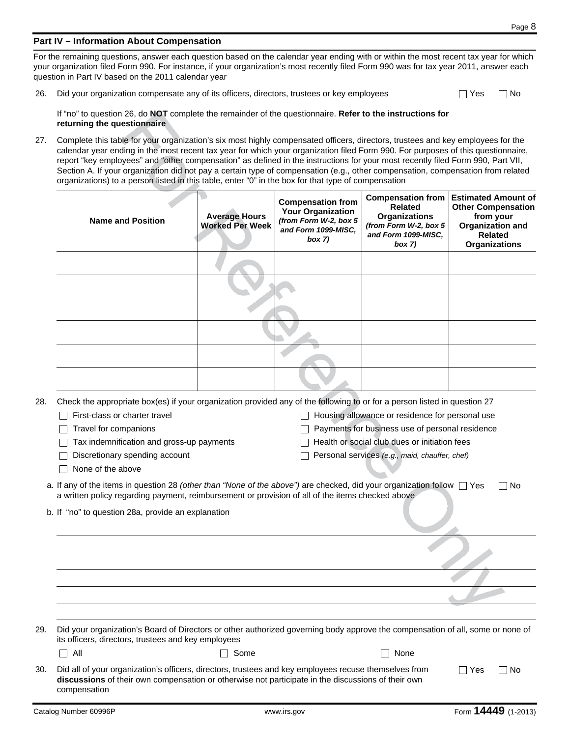## **Part IV – Information About Compensation**

For the remaining questions, answer each question based on the calendar year ending with or within the most recent tax year for which your organization filed Form 990. For instance, if your organization's most recently filed Form 990 was for tax year 2011, answer each question in Part IV based on the 2011 calendar year

26. Did your organization compensate any of its officers, directors, trustees or key employees

| es | No. |
|----|-----|
|    |     |

If "no" to question 26, do **NOT** complete the remainder of the questionnaire. **Refer to the instructions for returning the questionnaire**

27. Complete this table for your organization's six most highly compensated officers, directors, trustees and key employees for the calendar year ending in the most recent tax year for which your organization filed Form 990. For purposes of this questionnaire, report "key employees" and "other compensation" as defined in the instructions for your most recently filed Form 990, Part VII, Section A. If your organization did not pay a certain type of compensation (e.g., other compensation, compensation from related organizations) to a person listed in this table, enter "0" in the box for that type of compensation

|     | <b>Name and Position</b>                                                                                                                                                                                                                                                                                                                                                                                                                                                                                                                                                  | <b>Average Hours</b><br><b>Worked Per Week</b> | <b>Compensation from</b><br><b>Your Organization</b><br>(from Form W-2, box 5<br>and Form 1099-MISC,<br>box 7) | <b>Compensation from</b><br><b>Related</b><br><b>Organizations</b><br>(from Form W-2, box 5<br>and Form 1099-MISC,<br>box 7) | <b>Estimated Amount of</b><br><b>Other Compensation</b><br>from your<br><b>Organization and</b><br><b>Related</b><br><b>Organizations</b> |
|-----|---------------------------------------------------------------------------------------------------------------------------------------------------------------------------------------------------------------------------------------------------------------------------------------------------------------------------------------------------------------------------------------------------------------------------------------------------------------------------------------------------------------------------------------------------------------------------|------------------------------------------------|----------------------------------------------------------------------------------------------------------------|------------------------------------------------------------------------------------------------------------------------------|-------------------------------------------------------------------------------------------------------------------------------------------|
|     |                                                                                                                                                                                                                                                                                                                                                                                                                                                                                                                                                                           |                                                |                                                                                                                |                                                                                                                              |                                                                                                                                           |
|     |                                                                                                                                                                                                                                                                                                                                                                                                                                                                                                                                                                           |                                                |                                                                                                                |                                                                                                                              |                                                                                                                                           |
|     |                                                                                                                                                                                                                                                                                                                                                                                                                                                                                                                                                                           |                                                |                                                                                                                |                                                                                                                              |                                                                                                                                           |
|     |                                                                                                                                                                                                                                                                                                                                                                                                                                                                                                                                                                           |                                                |                                                                                                                |                                                                                                                              |                                                                                                                                           |
|     |                                                                                                                                                                                                                                                                                                                                                                                                                                                                                                                                                                           |                                                |                                                                                                                |                                                                                                                              |                                                                                                                                           |
|     |                                                                                                                                                                                                                                                                                                                                                                                                                                                                                                                                                                           |                                                |                                                                                                                |                                                                                                                              |                                                                                                                                           |
|     | Payments for business use of personal residence<br>Travel for companions<br>Health or social club dues or initiation fees<br>Tax indemnification and gross-up payments<br>Discretionary spending account<br>Personal services (e.g., maid, chauffer, chef)<br>None of the above<br>a. If any of the items in question 28 (other than "None of the above") are checked, did your organization follow □ Yes<br>No<br>a written policy regarding payment, reimbursement or provision of all of the items checked above<br>b. If "no" to question 28a, provide an explanation |                                                |                                                                                                                |                                                                                                                              |                                                                                                                                           |
|     |                                                                                                                                                                                                                                                                                                                                                                                                                                                                                                                                                                           |                                                |                                                                                                                |                                                                                                                              |                                                                                                                                           |
|     |                                                                                                                                                                                                                                                                                                                                                                                                                                                                                                                                                                           |                                                |                                                                                                                |                                                                                                                              |                                                                                                                                           |
|     |                                                                                                                                                                                                                                                                                                                                                                                                                                                                                                                                                                           |                                                |                                                                                                                |                                                                                                                              |                                                                                                                                           |
| 29. | Did your organization's Board of Directors or other authorized governing body approve the compensation of all, some or none of<br>its officers, directors, trustees and key employees                                                                                                                                                                                                                                                                                                                                                                                     |                                                |                                                                                                                |                                                                                                                              |                                                                                                                                           |
|     | All                                                                                                                                                                                                                                                                                                                                                                                                                                                                                                                                                                       | Some                                           |                                                                                                                | None                                                                                                                         |                                                                                                                                           |
| 30. | Did all of your organization's officers, directors, trustees and key employees recuse themselves from<br>$\Box$ Yes<br>∣No<br>discussions of their own compensation or otherwise not participate in the discussions of their own<br>compensation                                                                                                                                                                                                                                                                                                                          |                                                |                                                                                                                |                                                                                                                              |                                                                                                                                           |

29.